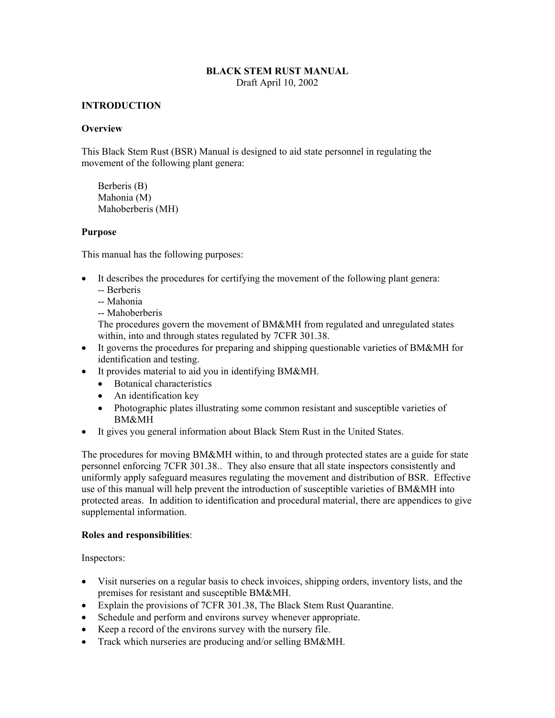#### **BLACK STEM RUST MANUAL**  Draft April 10, 2002

#### **INTRODUCTION**

#### **Overview**

This Black Stem Rust (BSR) Manual is designed to aid state personnel in regulating the movement of the following plant genera:

Berberis (B) Mahonia (M) Mahoberberis (MH)

#### **Purpose**

This manual has the following purposes:

- It describes the procedures for certifying the movement of the following plant genera:
	- -- Berberis
	- -- Mahonia
	- -- Mahoberberis

The procedures govern the movement of BM&MH from regulated and unregulated states within, into and through states regulated by 7CFR 301.38.

- It governs the procedures for preparing and shipping questionable varieties of BM&MH for identification and testing.
- It provides material to aid you in identifying BM&MH.
	- Botanical characteristics
	- An identification key
	- Photographic plates illustrating some common resistant and susceptible varieties of BM&MH
- It gives you general information about Black Stem Rust in the United States.

The procedures for moving BM&MH within, to and through protected states are a guide for state personnel enforcing 7CFR 301.38.. They also ensure that all state inspectors consistently and uniformly apply safeguard measures regulating the movement and distribution of BSR. Effective use of this manual will help prevent the introduction of susceptible varieties of BM&MH into protected areas. In addition to identification and procedural material, there are appendices to give supplemental information.

#### **Roles and responsibilities**:

Inspectors:

- Visit nurseries on a regular basis to check invoices, shipping orders, inventory lists, and the premises for resistant and susceptible BM&MH.
- Explain the provisions of 7CFR 301.38, The Black Stem Rust Quarantine.
- Schedule and perform and environs survey whenever appropriate.
- Keep a record of the environs survey with the nursery file.
- Track which nurseries are producing and/or selling BM&MH.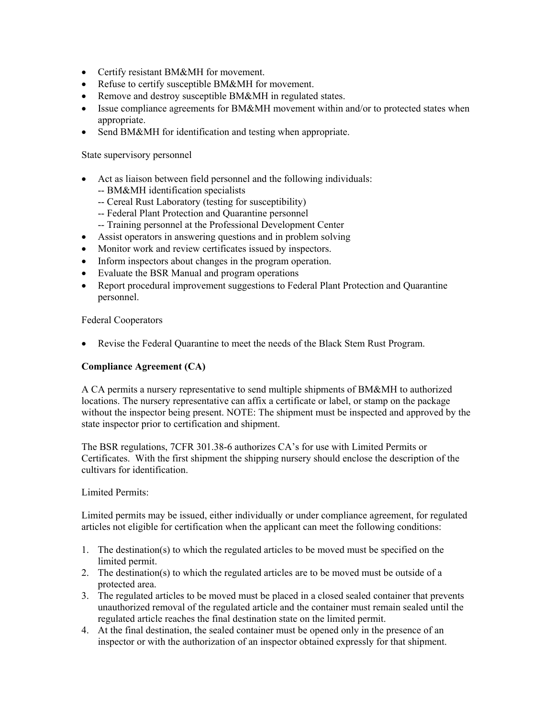- Certify resistant BM&MH for movement.
- Refuse to certify susceptible BM&MH for movement.
- Remove and destroy susceptible BM&MH in regulated states.
- Issue compliance agreements for BM&MH movement within and/or to protected states when appropriate.
- Send BM&MH for identification and testing when appropriate.

State supervisory personnel

- Act as liaison between field personnel and the following individuals:
	- -- BM&MH identification specialists
	- -- Cereal Rust Laboratory (testing for susceptibility)
	- -- Federal Plant Protection and Quarantine personnel
	- -- Training personnel at the Professional Development Center
- Assist operators in answering questions and in problem solving
- Monitor work and review certificates issued by inspectors.
- Inform inspectors about changes in the program operation.
- Evaluate the BSR Manual and program operations
- Report procedural improvement suggestions to Federal Plant Protection and Quarantine personnel.

Federal Cooperators

• Revise the Federal Quarantine to meet the needs of the Black Stem Rust Program.

#### **Compliance Agreement (CA)**

A CA permits a nursery representative to send multiple shipments of BM&MH to authorized locations. The nursery representative can affix a certificate or label, or stamp on the package without the inspector being present. NOTE: The shipment must be inspected and approved by the state inspector prior to certification and shipment.

The BSR regulations, 7CFR 301.38-6 authorizes CA's for use with Limited Permits or Certificates. With the first shipment the shipping nursery should enclose the description of the cultivars for identification.

Limited Permits:

Limited permits may be issued, either individually or under compliance agreement, for regulated articles not eligible for certification when the applicant can meet the following conditions:

- 1. The destination(s) to which the regulated articles to be moved must be specified on the limited permit.
- 2. The destination(s) to which the regulated articles are to be moved must be outside of a protected area.
- 3. The regulated articles to be moved must be placed in a closed sealed container that prevents unauthorized removal of the regulated article and the container must remain sealed until the regulated article reaches the final destination state on the limited permit.
- 4. At the final destination, the sealed container must be opened only in the presence of an inspector or with the authorization of an inspector obtained expressly for that shipment.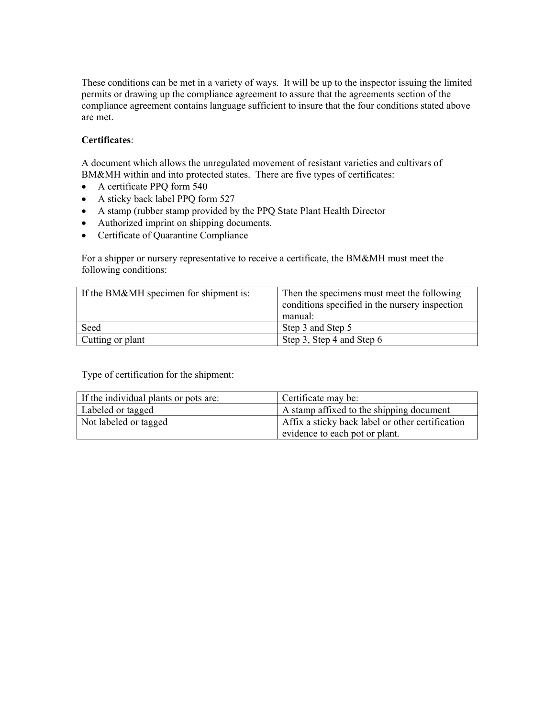These conditions can be met in a variety of ways. It will be up to the inspector issuing the limited permits or drawing up the compliance agreement to assure that the agreements section of the compliance agreement contains language sufficient to insure that the four conditions stated above are met.

### **Certificates**:

A document which allows the unregulated movement of resistant varieties and cultivars of BM&MH within and into protected states. There are five types of certificates:

- A certificate PPQ form 540
- A sticky back label PPQ form 527
- A stamp (rubber stamp provided by the PPQ State Plant Health Director
- Authorized imprint on shipping documents.
- Certificate of Quarantine Compliance

For a shipper or nursery representative to receive a certificate, the BM&MH must meet the following conditions:

| If the BM&MH specimen for shipment is: | Then the specimens must meet the following<br>conditions specified in the nursery inspection<br>manual: |
|----------------------------------------|---------------------------------------------------------------------------------------------------------|
| Seed                                   | Step 3 and Step 5                                                                                       |
| Cutting or plant                       | Step 3, Step 4 and Step 6                                                                               |

Type of certification for the shipment:

| If the individual plants or pots are: | Certificate may be:                              |
|---------------------------------------|--------------------------------------------------|
| Labeled or tagged                     | A stamp affixed to the shipping document         |
| Not labeled or tagged                 | Affix a sticky back label or other certification |
|                                       | evidence to each pot or plant.                   |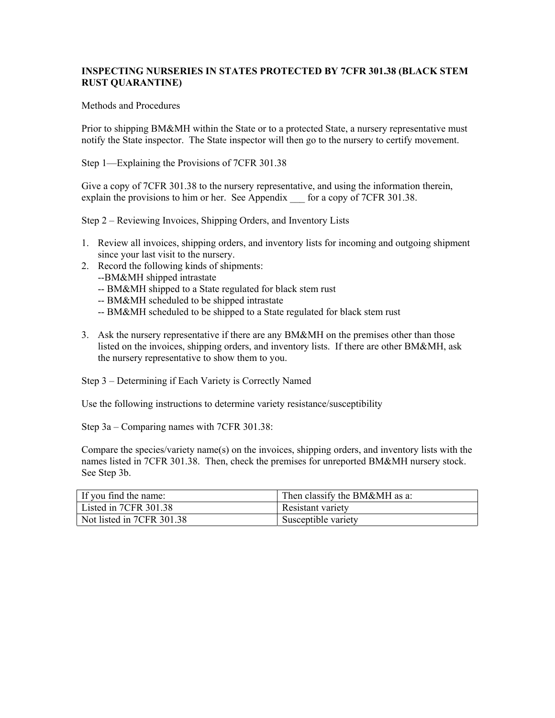### **INSPECTING NURSERIES IN STATES PROTECTED BY 7CFR 301.38 (BLACK STEM RUST QUARANTINE)**

#### Methods and Procedures

Prior to shipping BM&MH within the State or to a protected State, a nursery representative must notify the State inspector. The State inspector will then go to the nursery to certify movement.

Step 1—Explaining the Provisions of 7CFR 301.38

Give a copy of 7CFR 301.38 to the nursery representative, and using the information therein, explain the provisions to him or her. See Appendix for a copy of 7CFR 301.38.

Step 2 – Reviewing Invoices, Shipping Orders, and Inventory Lists

- 1. Review all invoices, shipping orders, and inventory lists for incoming and outgoing shipment since your last visit to the nursery.
- 2. Record the following kinds of shipments:
	- --BM&MH shipped intrastate
	- -- BM&MH shipped to a State regulated for black stem rust
	- -- BM&MH scheduled to be shipped intrastate
	- -- BM&MH scheduled to be shipped to a State regulated for black stem rust
- 3. Ask the nursery representative if there are any BM&MH on the premises other than those listed on the invoices, shipping orders, and inventory lists. If there are other BM&MH, ask the nursery representative to show them to you.

Step 3 – Determining if Each Variety is Correctly Named

Use the following instructions to determine variety resistance/susceptibility

Step 3a – Comparing names with 7CFR 301.38:

Compare the species/variety name(s) on the invoices, shipping orders, and inventory lists with the names listed in 7CFR 301.38. Then, check the premises for unreported BM&MH nursery stock. See Step 3b.

| If you find the name:     | Then classify the BM&MH as a: |
|---------------------------|-------------------------------|
| Listed in 7CFR 301.38     | Resistant variety             |
| Not listed in 7CFR 301.38 | Susceptible variety           |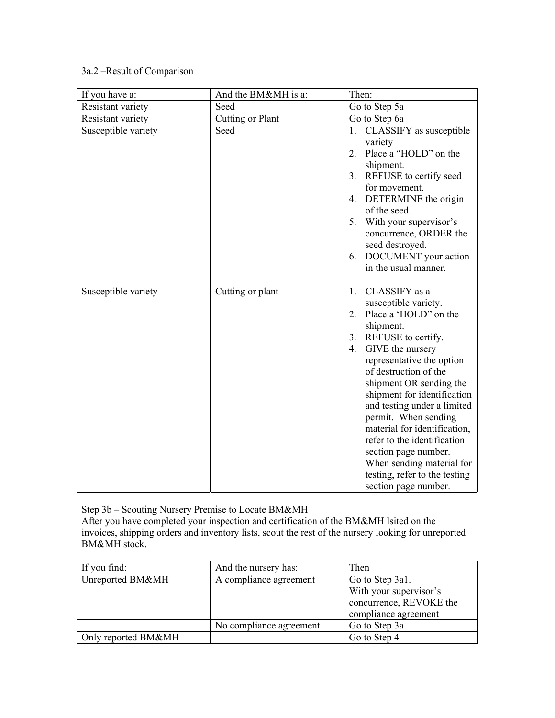# 3a.2 –Result of Comparison

| If you have a:      | And the BM&MH is a: | Then:                                                                                                                                                                                                                                                                                                                                                                                                                                                                                          |
|---------------------|---------------------|------------------------------------------------------------------------------------------------------------------------------------------------------------------------------------------------------------------------------------------------------------------------------------------------------------------------------------------------------------------------------------------------------------------------------------------------------------------------------------------------|
| Resistant variety   | Seed                | Go to Step 5a                                                                                                                                                                                                                                                                                                                                                                                                                                                                                  |
| Resistant variety   | Cutting or Plant    | Go to Step 6a                                                                                                                                                                                                                                                                                                                                                                                                                                                                                  |
| Susceptible variety | Seed                | CLASSIFY as susceptible<br>1.<br>variety<br>Place a "HOLD" on the<br>2.<br>shipment.<br>REFUSE to certify seed<br>3.<br>for movement.<br>4. DETERMINE the origin<br>of the seed.<br>With your supervisor's<br>5.<br>concurrence, ORDER the<br>seed destroyed.<br>DOCUMENT your action<br>6.<br>in the usual manner.                                                                                                                                                                            |
| Susceptible variety | Cutting or plant    | CLASSIFY as a<br>1.<br>susceptible variety.<br>Place a 'HOLD" on the<br>2.<br>shipment.<br>3. REFUSE to certify.<br>GIVE the nursery<br>4.<br>representative the option<br>of destruction of the<br>shipment OR sending the<br>shipment for identification<br>and testing under a limited<br>permit. When sending<br>material for identification,<br>refer to the identification<br>section page number.<br>When sending material for<br>testing, refer to the testing<br>section page number. |

Step 3b – Scouting Nursery Premise to Locate BM&MH After you have completed your inspection and certification of the BM&MH lsited on the invoices, shipping orders and inventory lists, scout the rest of the nursery looking for unreported BM&MH stock.

| If you find:        | And the nursery has:    | Then                    |
|---------------------|-------------------------|-------------------------|
| Unreported BM&MH    | A compliance agreement  | Go to Step 3a1.         |
|                     |                         | With your supervisor's  |
|                     |                         | concurrence, REVOKE the |
|                     |                         | compliance agreement    |
|                     | No compliance agreement | Go to Step 3a           |
| Only reported BM&MH |                         | Go to Step 4            |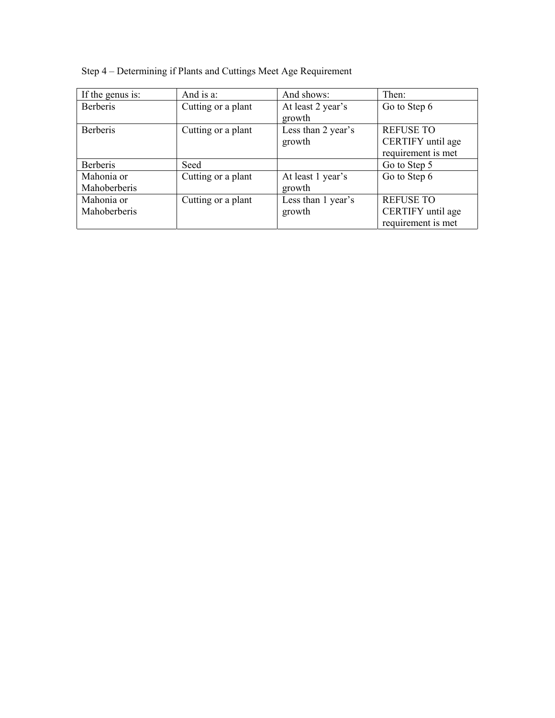| If the genus is: | And is a:          | And shows:         | Then:              |
|------------------|--------------------|--------------------|--------------------|
| <b>Berberis</b>  | Cutting or a plant | At least 2 year's  | Go to Step 6       |
|                  |                    | growth             |                    |
| <b>Berberis</b>  | Cutting or a plant | Less than 2 year's | <b>REFUSE TO</b>   |
|                  |                    | growth             | CERTIFY until age  |
|                  |                    |                    | requirement is met |
| <b>Berberis</b>  | Seed               |                    | Go to Step 5       |
| Mahonia or       | Cutting or a plant | At least 1 year's  | Go to Step 6       |
| Mahoberberis     |                    | growth             |                    |
| Mahonia or       | Cutting or a plant | Less than 1 year's | <b>REFUSE TO</b>   |
| Mahoberberis     |                    | growth             | CERTIFY until age  |
|                  |                    |                    | requirement is met |

Step 4 – Determining if Plants and Cuttings Meet Age Requirement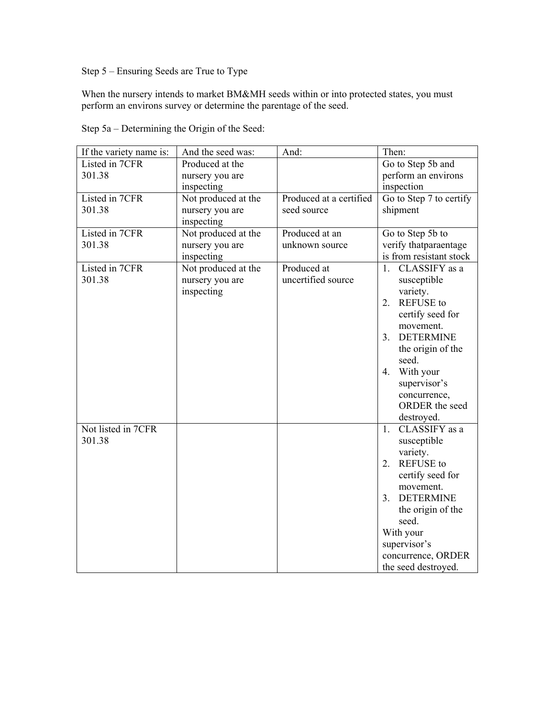Step 5 – Ensuring Seeds are True to Type

When the nursery intends to market BM&MH seeds within or into protected states, you must perform an environs survey or determine the parentage of the seed.

| If the variety name is: | And the seed was:   | And:                    | Then:                              |
|-------------------------|---------------------|-------------------------|------------------------------------|
| Listed in 7CFR          | Produced at the     |                         | Go to Step 5b and                  |
| 301.38                  | nursery you are     |                         | perform an environs                |
|                         | inspecting          |                         | inspection                         |
| Listed in 7CFR          | Not produced at the | Produced at a certified | Go to Step 7 to certify            |
| 301.38                  | nursery you are     | seed source             | shipment                           |
|                         | inspecting          |                         |                                    |
| Listed in 7CFR          | Not produced at the | Produced at an          | Go to Step 5b to                   |
| 301.38                  | nursery you are     | unknown source          | verify thatparaentage              |
|                         | inspecting          |                         | is from resistant stock            |
| Listed in 7CFR          | Not produced at the | Produced at             | CLASSIFY as a<br>1 <sup>1</sup>    |
| 301.38                  | nursery you are     | uncertified source      | susceptible                        |
|                         | inspecting          |                         | variety.                           |
|                         |                     |                         | <b>REFUSE</b> to<br>2.             |
|                         |                     |                         | certify seed for                   |
|                         |                     |                         | movement.                          |
|                         |                     |                         | <b>DETERMINE</b><br>3 <sub>1</sub> |
|                         |                     |                         | the origin of the                  |
|                         |                     |                         | seed.                              |
|                         |                     |                         | With your<br>4.                    |
|                         |                     |                         | supervisor's                       |
|                         |                     |                         | concurrence,                       |
|                         |                     |                         | ORDER the seed                     |
|                         |                     |                         | destroyed.                         |
| Not listed in 7CFR      |                     |                         | $1_{-}$<br>CLASSIFY as a           |
| 301.38                  |                     |                         | susceptible                        |
|                         |                     |                         | variety.                           |
|                         |                     |                         | <b>REFUSE</b> to<br>2.             |
|                         |                     |                         | certify seed for                   |
|                         |                     |                         | movement.                          |
|                         |                     |                         | <b>DETERMINE</b><br>3 <sub>1</sub> |
|                         |                     |                         | the origin of the                  |
|                         |                     |                         | seed.                              |
|                         |                     |                         | With your                          |
|                         |                     |                         | supervisor's                       |
|                         |                     |                         | concurrence, ORDER                 |
|                         |                     |                         | the seed destroyed.                |

Step 5a – Determining the Origin of the Seed: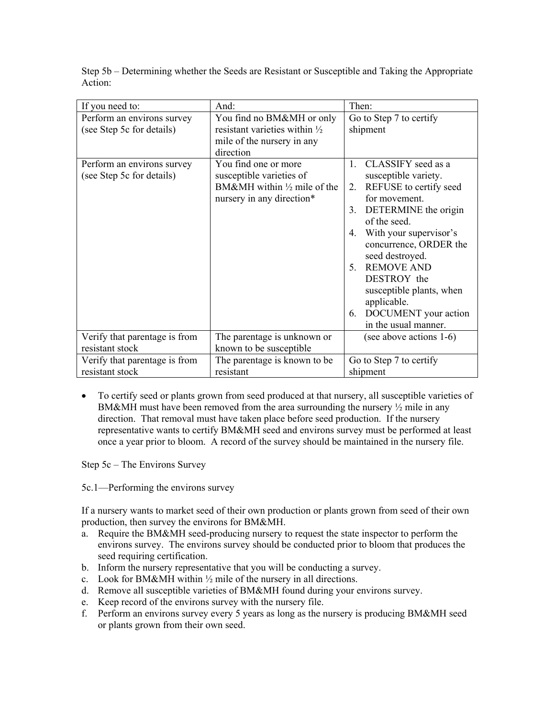|                               | And:                                     | Then:                              |
|-------------------------------|------------------------------------------|------------------------------------|
| If you need to:               |                                          |                                    |
| Perform an environs survey    | You find no BM&MH or only                | Go to Step 7 to certify            |
| (see Step 5c for details)     | resistant varieties within $\frac{1}{2}$ | shipment                           |
|                               | mile of the nursery in any               |                                    |
|                               | direction                                |                                    |
| Perform an environs survey    | You find one or more                     | $\mathbf{1}$<br>CLASSIFY seed as a |
| (see Step 5c for details)     | susceptible varieties of                 | susceptible variety.               |
|                               | BM&MH within $\frac{1}{2}$ mile of the   | REFUSE to certify seed<br>2.       |
|                               | nursery in any direction*                | for movement.                      |
|                               |                                          | DETERMINE the origin<br>3.         |
|                               |                                          | of the seed.                       |
|                               |                                          | With your supervisor's<br>4.       |
|                               |                                          | concurrence, ORDER the             |
|                               |                                          | seed destroyed.                    |
|                               |                                          | <b>REMOVE AND</b><br>$\sim$        |
|                               |                                          | DESTROY the                        |
|                               |                                          | susceptible plants, when           |
|                               |                                          | applicable.                        |
|                               |                                          | DOCUMENT your action<br>6.         |
|                               |                                          | in the usual manner.               |
| Verify that parentage is from | The parentage is unknown or              | (see above actions 1-6)            |
| resistant stock               | known to be susceptible                  |                                    |
| Verify that parentage is from | The parentage is known to be.            | Go to Step 7 to certify            |
| resistant stock               | resistant                                | shipment                           |

Step 5b – Determining whether the Seeds are Resistant or Susceptible and Taking the Appropriate Action:

• To certify seed or plants grown from seed produced at that nursery, all susceptible varieties of BM&MH must have been removed from the area surrounding the nursery  $\frac{1}{2}$  mile in any direction. That removal must have taken place before seed production. If the nursery representative wants to certify BM&MH seed and environs survey must be performed at least once a year prior to bloom. A record of the survey should be maintained in the nursery file.

Step 5c – The Environs Survey

5c.1—Performing the environs survey

If a nursery wants to market seed of their own production or plants grown from seed of their own production, then survey the environs for BM&MH.

- a. Require the BM&MH seed-producing nursery to request the state inspector to perform the environs survey. The environs survey should be conducted prior to bloom that produces the seed requiring certification.
- b. Inform the nursery representative that you will be conducting a survey.
- c. Look for BM&MH within  $\frac{1}{2}$  mile of the nursery in all directions.
- d. Remove all susceptible varieties of BM&MH found during your environs survey.
- e. Keep record of the environs survey with the nursery file.
- f. Perform an environs survey every 5 years as long as the nursery is producing BM&MH seed or plants grown from their own seed.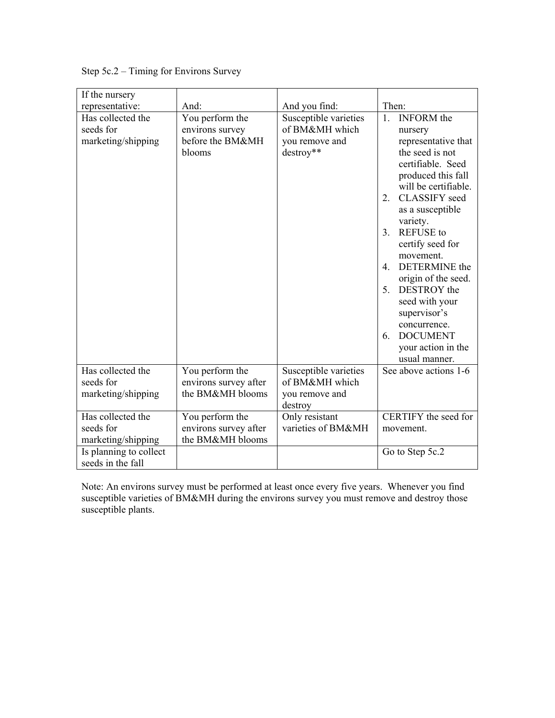| Step 5c.2 – Timing for Environs Survey |
|----------------------------------------|
|----------------------------------------|

| If the nursery                                       |                                                                  |                                                                        |                                                                                                                                                                                                                                                                                                                                                                                                                                                                                       |
|------------------------------------------------------|------------------------------------------------------------------|------------------------------------------------------------------------|---------------------------------------------------------------------------------------------------------------------------------------------------------------------------------------------------------------------------------------------------------------------------------------------------------------------------------------------------------------------------------------------------------------------------------------------------------------------------------------|
| representative:                                      | And:                                                             | And you find:                                                          | Then:                                                                                                                                                                                                                                                                                                                                                                                                                                                                                 |
| Has collected the<br>seeds for<br>marketing/shipping | You perform the<br>environs survey<br>before the BM&MH<br>blooms | Susceptible varieties<br>of BM&MH which<br>you remove and<br>destroy** | <b>INFORM</b> the<br>1.<br>nursery<br>representative that<br>the seed is not<br>certifiable. Seed<br>produced this fall<br>will be certifiable.<br><b>CLASSIFY</b> seed<br>2.<br>as a susceptible<br>variety.<br><b>REFUSE</b> to<br>3 <sub>1</sub><br>certify seed for<br>movement.<br>DETERMINE the<br>$\overline{4}$<br>origin of the seed.<br>DESTROY the<br>5.<br>seed with your<br>supervisor's<br>concurrence.<br><b>DOCUMENT</b><br>6.<br>your action in the<br>usual manner. |
| Has collected the<br>seeds for<br>marketing/shipping | You perform the<br>environs survey after<br>the BM&MH blooms     | Susceptible varieties<br>of BM&MH which<br>you remove and<br>destroy   | See above actions 1-6                                                                                                                                                                                                                                                                                                                                                                                                                                                                 |
| Has collected the<br>seeds for<br>marketing/shipping | You perform the<br>environs survey after<br>the BM&MH blooms     | Only resistant<br>varieties of BM&MH                                   | CERTIFY the seed for<br>movement.                                                                                                                                                                                                                                                                                                                                                                                                                                                     |
| Is planning to collect<br>seeds in the fall          |                                                                  |                                                                        | Go to Step 5c.2                                                                                                                                                                                                                                                                                                                                                                                                                                                                       |

Note: An environs survey must be performed at least once every five years. Whenever you find susceptible varieties of BM&MH during the environs survey you must remove and destroy those susceptible plants.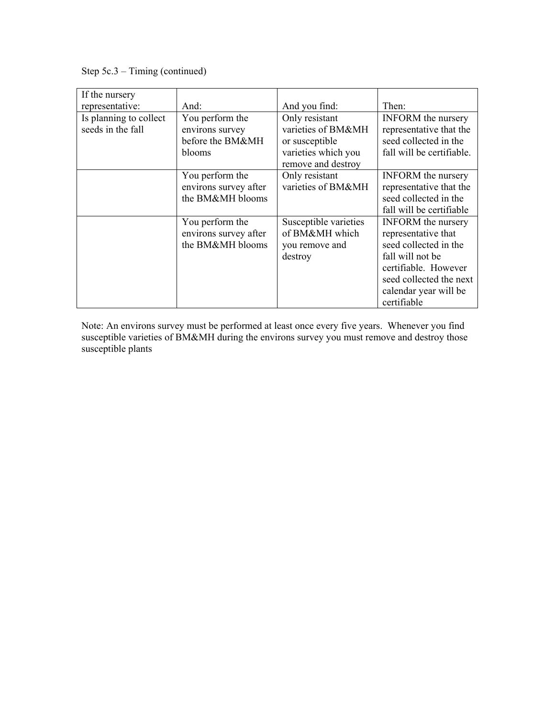Step 5c.3 – Timing (continued)

| If the nursery<br>representative:           | And:                                                             | And you find:                                                                                       | Then:                                                                                                                                                                                    |
|---------------------------------------------|------------------------------------------------------------------|-----------------------------------------------------------------------------------------------------|------------------------------------------------------------------------------------------------------------------------------------------------------------------------------------------|
| Is planning to collect<br>seeds in the fall | You perform the<br>environs survey<br>before the BM&MH<br>blooms | Only resistant<br>varieties of BM&MH<br>or susceptible<br>varieties which you<br>remove and destroy | <b>INFORM</b> the nursery<br>representative that the<br>seed collected in the<br>fall will be certifiable.                                                                               |
|                                             | You perform the<br>environs survey after<br>the BM&MH blooms     | Only resistant<br>varieties of BM&MH                                                                | <b>INFORM</b> the nursery<br>representative that the<br>seed collected in the<br>fall will be certifiable                                                                                |
|                                             | You perform the<br>environs survey after<br>the BM&MH blooms     | Susceptible varieties<br>of BM&MH which<br>you remove and<br>destroy                                | <b>INFORM</b> the nursery<br>representative that<br>seed collected in the<br>fall will not be<br>certifiable. However<br>seed collected the next<br>calendar year will be<br>certifiable |

Note: An environs survey must be performed at least once every five years. Whenever you find susceptible varieties of BM&MH during the environs survey you must remove and destroy those susceptible plants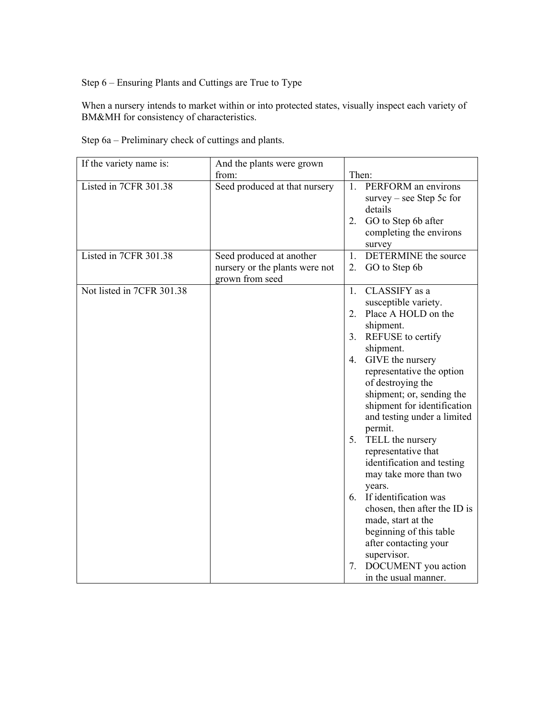Step 6 – Ensuring Plants and Cuttings are True to Type

When a nursery intends to market within or into protected states, visually inspect each variety of BM&MH for consistency of characteristics.

Step 6a – Preliminary check of cuttings and plants.

| If the variety name is:   | And the plants were grown                                                     |                                                                  |
|---------------------------|-------------------------------------------------------------------------------|------------------------------------------------------------------|
|                           | from:                                                                         | Then:                                                            |
| Listed in 7CFR 301.38     | Seed produced at that nursery                                                 | PERFORM an environs<br>1.<br>survey – see Step 5c for<br>details |
|                           |                                                                               | GO to Step 6b after<br>2.<br>completing the environs<br>survey   |
| Listed in 7CFR 301.38     | Seed produced at another<br>nursery or the plants were not<br>grown from seed | DETERMINE the source<br>1.<br>GO to Step 6b<br>2.                |
| Not listed in 7CFR 301.38 |                                                                               | CLASSIFY as a<br>1.<br>susceptible variety.                      |
|                           |                                                                               | Place A HOLD on the<br>2.<br>shipment.                           |
|                           |                                                                               | REFUSE to certify<br>3.<br>shipment.                             |
|                           |                                                                               | GIVE the nursery<br>4.                                           |
|                           |                                                                               | representative the option<br>of destroying the                   |
|                           |                                                                               | shipment; or, sending the<br>shipment for identification         |
|                           |                                                                               | and testing under a limited                                      |
|                           |                                                                               | permit.<br>5. TELL the nursery                                   |
|                           |                                                                               | representative that<br>identification and testing                |
|                           |                                                                               | may take more than two                                           |
|                           |                                                                               | years.<br>6. If identification was                               |
|                           |                                                                               | chosen, then after the ID is<br>made, start at the               |
|                           |                                                                               | beginning of this table<br>after contacting your                 |
|                           |                                                                               | supervisor.<br>DOCUMENT you action<br>7.                         |
|                           |                                                                               | in the usual manner.                                             |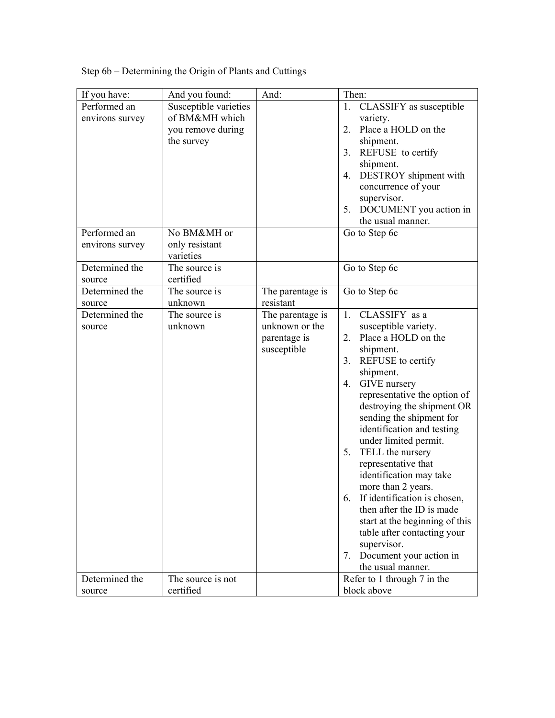| If you have:    | And you found:        | And:             | Then:                           |
|-----------------|-----------------------|------------------|---------------------------------|
| Performed an    | Susceptible varieties |                  | CLASSIFY as susceptible<br>1.   |
| environs survey | of BM&MH which        |                  | variety.                        |
|                 | you remove during     |                  | Place a HOLD on the<br>2.       |
|                 | the survey            |                  | shipment.                       |
|                 |                       |                  | 3.<br>REFUSE to certify         |
|                 |                       |                  | shipment.                       |
|                 |                       |                  | DESTROY shipment with<br>4.     |
|                 |                       |                  | concurrence of your             |
|                 |                       |                  | supervisor.                     |
|                 |                       |                  | 5.<br>DOCUMENT you action in    |
|                 |                       |                  | the usual manner.               |
| Performed an    | No BM&MH or           |                  | Go to Step 6c                   |
| environs survey | only resistant        |                  |                                 |
|                 | varieties             |                  |                                 |
| Determined the  | The source is         |                  | Go to Step 6c                   |
| source          | certified             |                  |                                 |
| Determined the  | The source is         | The parentage is | Go to Step 6c                   |
| source          | unknown               | resistant        |                                 |
| Determined the  | The source is         | The parentage is | CLASSIFY as a<br>1.             |
| source          | unknown               | unknown or the   | susceptible variety.            |
|                 |                       | parentage is     | Place a HOLD on the<br>2.       |
|                 |                       | susceptible      | shipment.                       |
|                 |                       |                  | REFUSE to certify<br>3.         |
|                 |                       |                  | shipment.                       |
|                 |                       |                  | GIVE nursery<br>4.              |
|                 |                       |                  | representative the option of    |
|                 |                       |                  | destroying the shipment OR      |
|                 |                       |                  | sending the shipment for        |
|                 |                       |                  | identification and testing      |
|                 |                       |                  | under limited permit.           |
|                 |                       |                  | 5.<br>TELL the nursery          |
|                 |                       |                  | representative that             |
|                 |                       |                  | identification may take         |
|                 |                       |                  | more than 2 years.              |
|                 |                       |                  | 6. If identification is chosen, |
|                 |                       |                  | then after the ID is made       |
|                 |                       |                  | start at the beginning of this  |
|                 |                       |                  | table after contacting your     |
|                 |                       |                  | supervisor.                     |
|                 |                       |                  | Document your action in<br>7.   |
|                 |                       |                  | the usual manner.               |
| Determined the  | The source is not     |                  | Refer to 1 through 7 in the     |
| source          | certified             |                  | block above                     |

Step 6b – Determining the Origin of Plants and Cuttings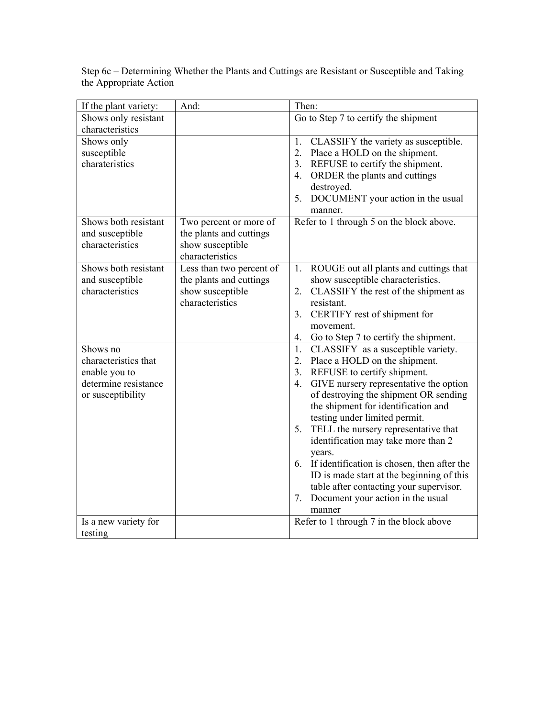| If the plant variety: | And:                     | Then:                                          |
|-----------------------|--------------------------|------------------------------------------------|
| Shows only resistant  |                          | Go to Step 7 to certify the shipment           |
| characteristics       |                          |                                                |
| Shows only            |                          | 1.<br>CLASSIFY the variety as susceptible.     |
| susceptible           |                          | 2.<br>Place a HOLD on the shipment.            |
| charateristics        |                          | REFUSE to certify the shipment.<br>3.          |
|                       |                          | ORDER the plants and cuttings<br>4.            |
|                       |                          | destroyed.                                     |
|                       |                          | DOCUMENT your action in the usual<br>5.        |
|                       |                          | manner.                                        |
| Shows both resistant  | Two percent or more of   | Refer to 1 through 5 on the block above.       |
| and susceptible       | the plants and cuttings  |                                                |
| characteristics       | show susceptible         |                                                |
|                       | characteristics          |                                                |
| Shows both resistant  | Less than two percent of | ROUGE out all plants and cuttings that<br>1.   |
| and susceptible       | the plants and cuttings  | show susceptible characteristics.              |
| characteristics       | show susceptible         | CLASSIFY the rest of the shipment as<br>2.     |
|                       | characteristics          | resistant.                                     |
|                       |                          | 3.<br>CERTIFY rest of shipment for             |
|                       |                          | movement.                                      |
|                       |                          | Go to Step 7 to certify the shipment.<br>4.    |
| Shows no              |                          | CLASSIFY as a susceptible variety.<br>1.       |
| characteristics that  |                          | Place a HOLD on the shipment.<br>2.            |
| enable you to         |                          | 3.<br>REFUSE to certify shipment.              |
| determine resistance  |                          | GIVE nursery representative the option<br>4.   |
| or susceptibility     |                          | of destroying the shipment OR sending          |
|                       |                          | the shipment for identification and            |
|                       |                          | testing under limited permit.                  |
|                       |                          | TELL the nursery representative that<br>5.     |
|                       |                          | identification may take more than 2            |
|                       |                          | years.                                         |
|                       |                          | 6. If identification is chosen, then after the |
|                       |                          | ID is made start at the beginning of this      |
|                       |                          | table after contacting your supervisor.        |
|                       |                          | Document your action in the usual<br>7.        |
|                       |                          | manner                                         |
| Is a new variety for  |                          | Refer to 1 through 7 in the block above        |
| testing               |                          |                                                |

Step 6c – Determining Whether the Plants and Cuttings are Resistant or Susceptible and Taking the Appropriate Action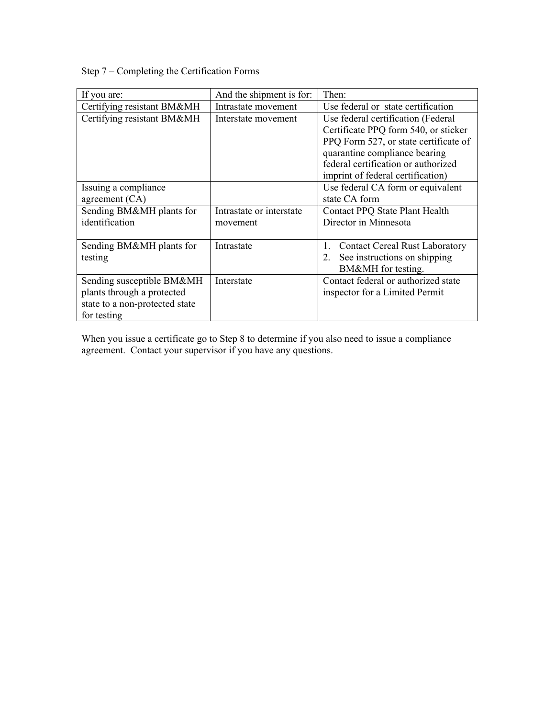Step 7 – Completing the Certification Forms

| If you are:                    | And the shipment is for: | Then:                                       |
|--------------------------------|--------------------------|---------------------------------------------|
| Certifying resistant BM&MH     | Intrastate movement      | Use federal or state certification          |
| Certifying resistant BM&MH     | Interstate movement      | Use federal certification (Federal          |
|                                |                          | Certificate PPQ form 540, or sticker        |
|                                |                          | PPQ Form 527, or state certificate of       |
|                                |                          | quarantine compliance bearing               |
|                                |                          | federal certification or authorized         |
|                                |                          | imprint of federal certification)           |
| Issuing a compliance           |                          | Use federal CA form or equivalent           |
| agreement $(CA)$               |                          | state CA form                               |
| Sending BM&MH plants for       | Intrastate or interstate | Contact PPQ State Plant Health              |
| identification                 | movement                 | Director in Minnesota                       |
|                                |                          |                                             |
| Sending BM&MH plants for       | Intrastate               | 1.<br><b>Contact Cereal Rust Laboratory</b> |
| testing                        |                          | See instructions on shipping<br>2.          |
|                                |                          | BM&MH for testing.                          |
| Sending susceptible BM&MH      | Interstate               | Contact federal or authorized state         |
| plants through a protected     |                          | inspector for a Limited Permit              |
| state to a non-protected state |                          |                                             |
| for testing                    |                          |                                             |

When you issue a certificate go to Step 8 to determine if you also need to issue a compliance agreement. Contact your supervisor if you have any questions.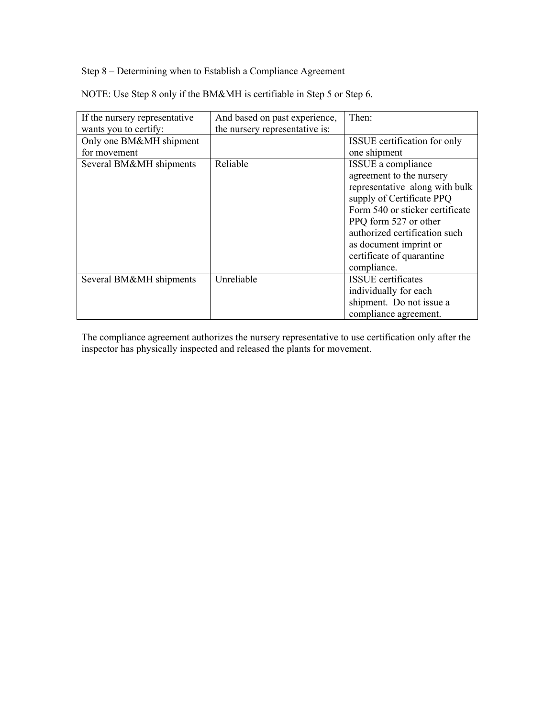Step 8 – Determining when to Establish a Compliance Agreement

NOTE: Use Step 8 only if the BM&MH is certifiable in Step 5 or Step 6.

| If the nursery representative | And based on past experience,  | Then:                           |
|-------------------------------|--------------------------------|---------------------------------|
| wants you to certify:         | the nursery representative is: |                                 |
| Only one BM&MH shipment       |                                | ISSUE certification for only    |
| for movement                  |                                | one shipment                    |
| Several BM&MH shipments       | Reliable                       | ISSUE a compliance              |
|                               |                                | agreement to the nursery        |
|                               |                                | representative along with bulk  |
|                               |                                | supply of Certificate PPQ       |
|                               |                                | Form 540 or sticker certificate |
|                               |                                | PPQ form 527 or other           |
|                               |                                | authorized certification such   |
|                               |                                | as document imprint or          |
|                               |                                | certificate of quarantine       |
|                               |                                | compliance.                     |
| Several BM&MH shipments       | Unreliable                     | <b>ISSUE</b> certificates       |
|                               |                                | individually for each           |
|                               |                                | shipment. Do not issue a        |
|                               |                                | compliance agreement.           |

The compliance agreement authorizes the nursery representative to use certification only after the inspector has physically inspected and released the plants for movement.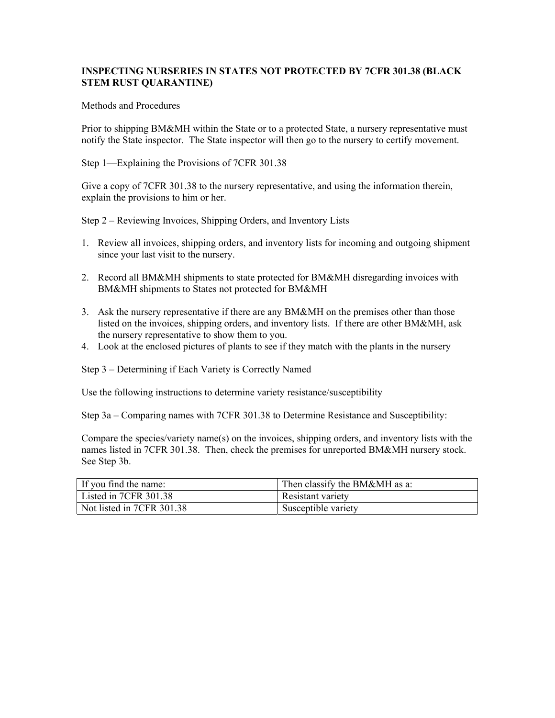### **INSPECTING NURSERIES IN STATES NOT PROTECTED BY 7CFR 301.38 (BLACK STEM RUST QUARANTINE)**

#### Methods and Procedures

Prior to shipping BM&MH within the State or to a protected State, a nursery representative must notify the State inspector. The State inspector will then go to the nursery to certify movement.

Step 1—Explaining the Provisions of 7CFR 301.38

Give a copy of 7CFR 301.38 to the nursery representative, and using the information therein, explain the provisions to him or her.

Step 2 – Reviewing Invoices, Shipping Orders, and Inventory Lists

- 1. Review all invoices, shipping orders, and inventory lists for incoming and outgoing shipment since your last visit to the nursery.
- 2. Record all BM&MH shipments to state protected for BM&MH disregarding invoices with BM&MH shipments to States not protected for BM&MH
- 3. Ask the nursery representative if there are any BM&MH on the premises other than those listed on the invoices, shipping orders, and inventory lists. If there are other BM&MH, ask the nursery representative to show them to you.
- 4. Look at the enclosed pictures of plants to see if they match with the plants in the nursery

Step 3 – Determining if Each Variety is Correctly Named

Use the following instructions to determine variety resistance/susceptibility

Step 3a – Comparing names with 7CFR 301.38 to Determine Resistance and Susceptibility:

Compare the species/variety name(s) on the invoices, shipping orders, and inventory lists with the names listed in 7CFR 301.38. Then, check the premises for unreported BM&MH nursery stock. See Step 3b.

| If you find the name:     | Then classify the BM&MH as a: |
|---------------------------|-------------------------------|
| Listed in 7CFR 301.38     | Resistant variety             |
| Not listed in 7CFR 301.38 | Susceptible variety           |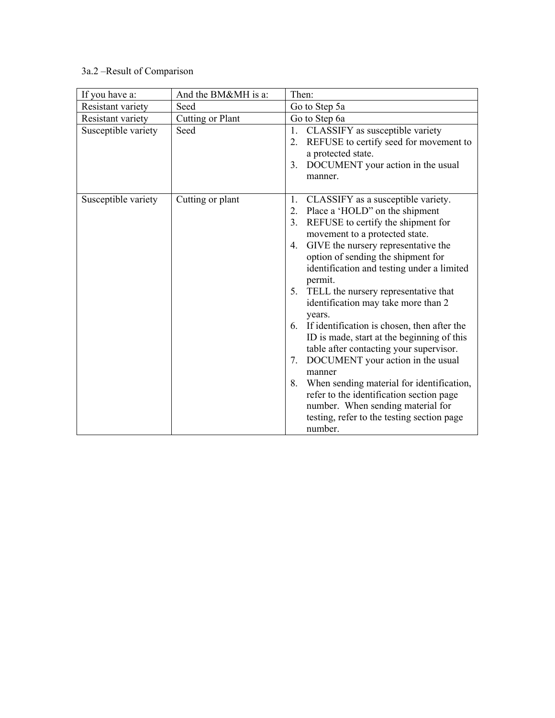# 3a.2 –Result of Comparison

| If you have a:      | And the BM&MH is a: | Then:                                                                                                                                                                                                                                                                                                                                                                                                                                                                                                                                                                                                                                                                                                                                                                                                  |
|---------------------|---------------------|--------------------------------------------------------------------------------------------------------------------------------------------------------------------------------------------------------------------------------------------------------------------------------------------------------------------------------------------------------------------------------------------------------------------------------------------------------------------------------------------------------------------------------------------------------------------------------------------------------------------------------------------------------------------------------------------------------------------------------------------------------------------------------------------------------|
| Resistant variety   | Seed                | Go to Step 5a                                                                                                                                                                                                                                                                                                                                                                                                                                                                                                                                                                                                                                                                                                                                                                                          |
| Resistant variety   | Cutting or Plant    | Go to Step 6a                                                                                                                                                                                                                                                                                                                                                                                                                                                                                                                                                                                                                                                                                                                                                                                          |
| Susceptible variety | Seed                | CLASSIFY as susceptible variety<br>1.<br>REFUSE to certify seed for movement to<br>2.<br>a protected state.<br>DOCUMENT your action in the usual<br>3.<br>manner.                                                                                                                                                                                                                                                                                                                                                                                                                                                                                                                                                                                                                                      |
| Susceptible variety | Cutting or plant    | CLASSIFY as a susceptible variety.<br>1.<br>Place a 'HOLD" on the shipment<br>2.<br>REFUSE to certify the shipment for<br>3.<br>movement to a protected state.<br>GIVE the nursery representative the<br>4.<br>option of sending the shipment for<br>identification and testing under a limited<br>permit.<br>5. TELL the nursery representative that<br>identification may take more than 2<br>years.<br>If identification is chosen, then after the<br>6.<br>ID is made, start at the beginning of this<br>table after contacting your supervisor.<br>DOCUMENT your action in the usual<br>7.<br>manner<br>When sending material for identification,<br>8.<br>refer to the identification section page<br>number. When sending material for<br>testing, refer to the testing section page<br>number. |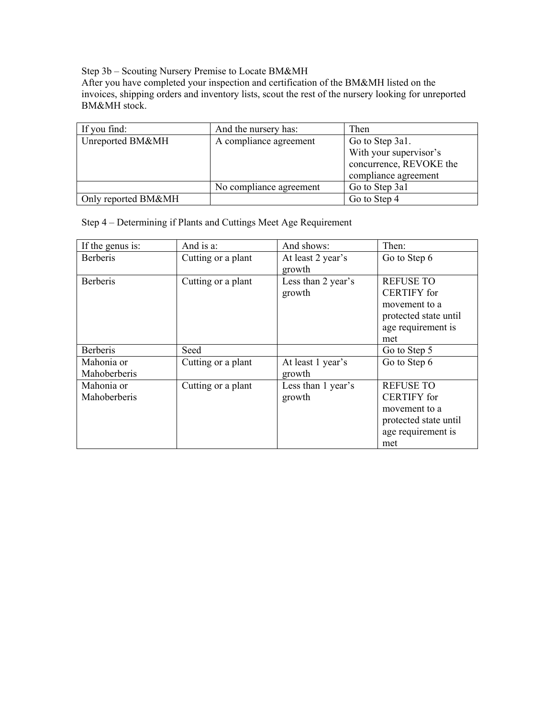Step 3b – Scouting Nursery Premise to Locate BM&MH

After you have completed your inspection and certification of the BM&MH listed on the invoices, shipping orders and inventory lists, scout the rest of the nursery looking for unreported BM&MH stock.

| If you find:        | And the nursery has:    | Then                    |
|---------------------|-------------------------|-------------------------|
| Unreported BM&MH    | A compliance agreement  | Go to Step 3a1.         |
|                     |                         | With your supervisor's  |
|                     |                         | concurrence, REVOKE the |
|                     |                         | compliance agreement    |
|                     | No compliance agreement | Go to Step 3a1          |
| Only reported BM&MH |                         | Go to Step 4            |

Step 4 – Determining if Plants and Cuttings Meet Age Requirement

| If the genus is:           | And is a:          | And shows:                   | Then:                                                                                                         |
|----------------------------|--------------------|------------------------------|---------------------------------------------------------------------------------------------------------------|
| <b>Berberis</b>            | Cutting or a plant | At least 2 year's<br>growth  | Go to Step 6                                                                                                  |
| <b>Berberis</b>            | Cutting or a plant | Less than 2 year's<br>growth | <b>REFUSE TO</b><br><b>CERTIFY</b> for<br>movement to a<br>protected state until<br>age requirement is<br>met |
| <b>Berberis</b>            | Seed               |                              | Go to Step 5                                                                                                  |
| Mahonia or<br>Mahoberberis | Cutting or a plant | At least 1 year's<br>growth  | Go to Step 6                                                                                                  |
| Mahonia or<br>Mahoberberis | Cutting or a plant | Less than 1 year's<br>growth | <b>REFUSE TO</b><br><b>CERTIFY</b> for<br>movement to a<br>protected state until<br>age requirement is<br>met |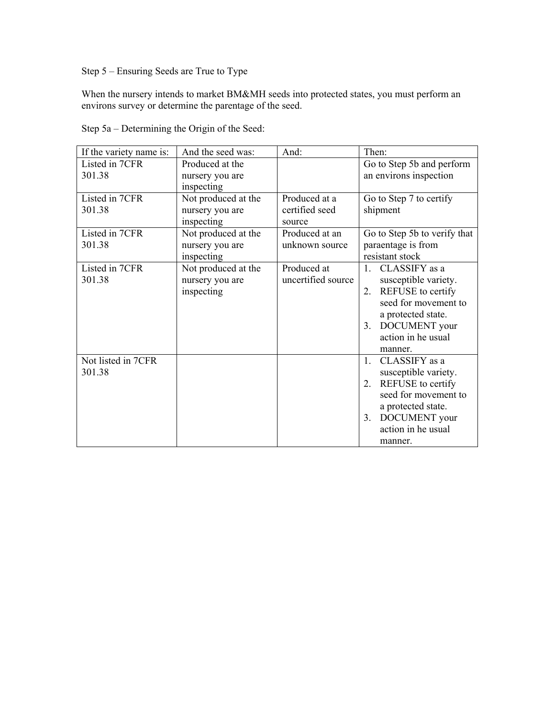Step 5 – Ensuring Seeds are True to Type

When the nursery intends to market BM&MH seeds into protected states, you must perform an environs survey or determine the parentage of the seed.

| If the variety name is:      | And the seed was:             | And:                     | Then:                                                 |
|------------------------------|-------------------------------|--------------------------|-------------------------------------------------------|
| Listed in 7CFR               | Produced at the               |                          | Go to Step 5b and perform                             |
| 301.38                       | nursery you are<br>inspecting |                          | an environs inspection                                |
| Listed in 7CFR               | Not produced at the           | Produced at a            | Go to Step 7 to certify                               |
| 301.38                       | nursery you are<br>inspecting | certified seed<br>source | shipment                                              |
| Listed in 7CFR               | Not produced at the           | Produced at an           | Go to Step 5b to verify that                          |
| 301.38                       | nursery you are<br>inspecting | unknown source           | paraentage is from<br>resistant stock                 |
| Listed in 7CFR               | Not produced at the           | Produced at              | CLASSIFY as a<br>$\mathbf{1}$                         |
| 301.38                       | nursery you are<br>inspecting | uncertified source       | susceptible variety.<br>REFUSE to certify<br>2.       |
|                              |                               |                          | seed for movement to                                  |
|                              |                               |                          | a protected state.                                    |
|                              |                               |                          | DOCUMENT your<br>3 <sub>1</sub><br>action in he usual |
|                              |                               |                          | manner.                                               |
| Not listed in 7CFR<br>301.38 |                               |                          | CLASSIFY as a<br>$\mathbf{1}$ .                       |
|                              |                               |                          | susceptible variety.<br>REFUSE to certify<br>$2_{-}$  |
|                              |                               |                          | seed for movement to                                  |
|                              |                               |                          | a protected state.<br>DOCUMENT your<br>3.             |
|                              |                               |                          | action in he usual                                    |
|                              |                               |                          | manner.                                               |

Step 5a – Determining the Origin of the Seed: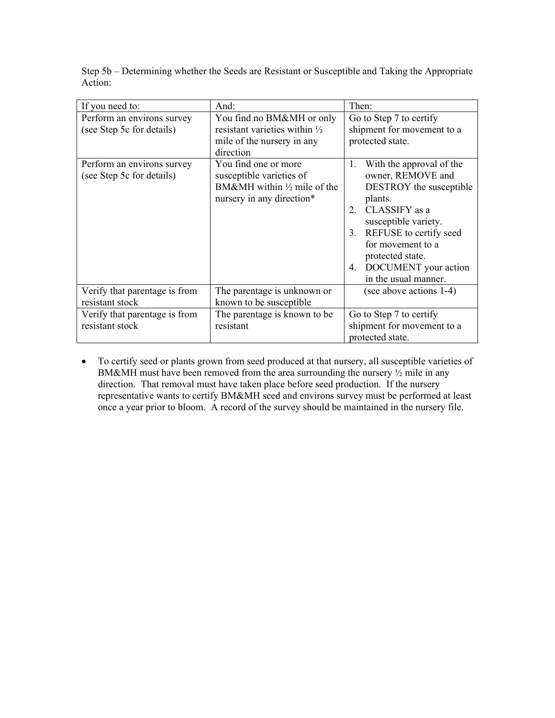| If you need to:                                         | And:                                                                                                                    | Then:                                                                                                                                                                                                                                                                         |
|---------------------------------------------------------|-------------------------------------------------------------------------------------------------------------------------|-------------------------------------------------------------------------------------------------------------------------------------------------------------------------------------------------------------------------------------------------------------------------------|
| Perform an environs survey<br>(see Step 5c for details) | You find no BM&MH or only<br>resistant varieties within $\frac{1}{2}$<br>mile of the nursery in any<br>direction        | Go to Step 7 to certify<br>shipment for movement to a<br>protected state.                                                                                                                                                                                                     |
| Perform an environs survey<br>(see Step 5c for details) | You find one or more<br>susceptible varieties of<br>BM&MH within $\frac{1}{2}$ mile of the<br>nursery in any direction* | With the approval of the<br>1.<br>owner, REMOVE and<br><b>DESTROY</b> the susceptible<br>plants.<br>CLASSIFY as a<br>2<br>susceptible variety.<br>REFUSE to certify seed<br>3.<br>for movement to a<br>protected state.<br>DOCUMENT your action<br>4.<br>in the usual manner. |
| Verify that parentage is from<br>resistant stock        | The parentage is unknown or<br>known to be susceptible                                                                  | (see above actions 1-4)                                                                                                                                                                                                                                                       |
| Verify that parentage is from<br>resistant stock        | The parentage is known to be.<br>resistant                                                                              | Go to Step 7 to certify<br>shipment for movement to a<br>protected state.                                                                                                                                                                                                     |

Step 5b – Determining whether the Seeds are Resistant or Susceptible and Taking the Appropriate Action:

• To certify seed or plants grown from seed produced at that nursery, all susceptible varieties of BM&MH must have been removed from the area surrounding the nursery  $\frac{1}{2}$  mile in any direction. That removal must have taken place before seed production. If the nursery representative wants to certify BM&MH seed and environs survey must be performed at least once a year prior to bloom. A record of the survey should be maintained in the nursery file.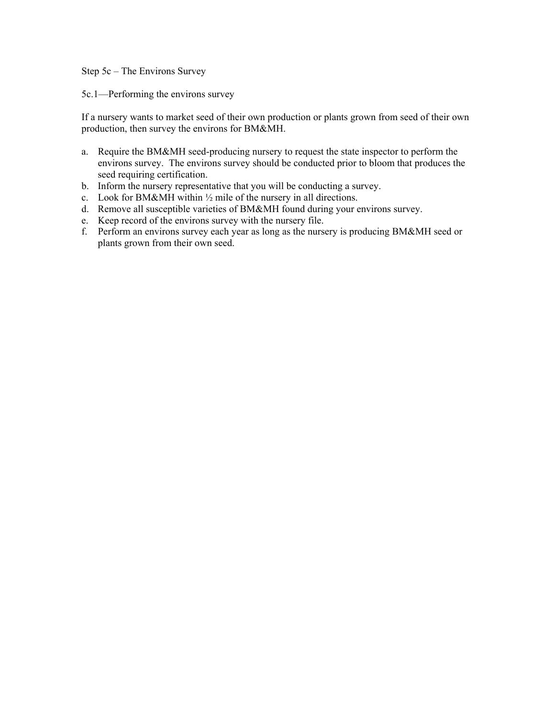Step 5c – The Environs Survey

5c.1—Performing the environs survey

If a nursery wants to market seed of their own production or plants grown from seed of their own production, then survey the environs for BM&MH.

- a. Require the BM&MH seed-producing nursery to request the state inspector to perform the environs survey. The environs survey should be conducted prior to bloom that produces the seed requiring certification.
- b. Inform the nursery representative that you will be conducting a survey.
- c. Look for BM&MH within  $\frac{1}{2}$  mile of the nursery in all directions.
- d. Remove all susceptible varieties of BM&MH found during your environs survey.
- e. Keep record of the environs survey with the nursery file.
- f. Perform an environs survey each year as long as the nursery is producing BM&MH seed or plants grown from their own seed.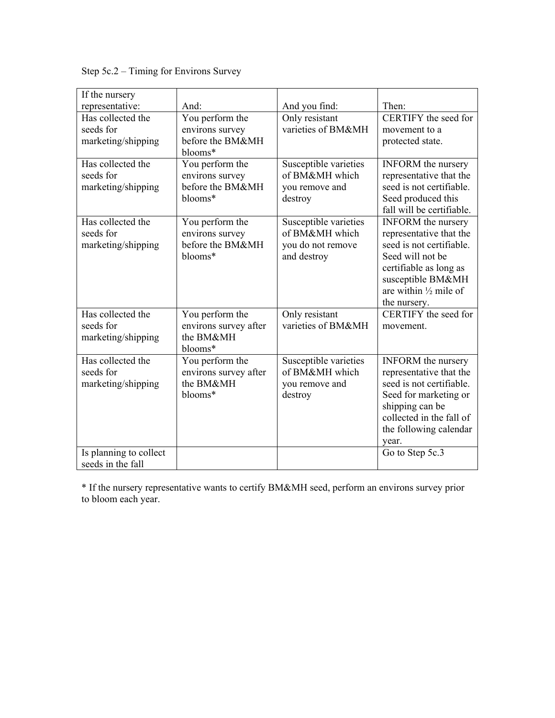Step 5c.2 – Timing for Environs Survey

| If the nursery                                       |                                                                   |                                                                             |                                                                                                                                                                                                         |
|------------------------------------------------------|-------------------------------------------------------------------|-----------------------------------------------------------------------------|---------------------------------------------------------------------------------------------------------------------------------------------------------------------------------------------------------|
| representative:                                      | And:                                                              | And you find:                                                               | Then:                                                                                                                                                                                                   |
| Has collected the<br>seeds for<br>marketing/shipping | You perform the<br>environs survey<br>before the BM&MH<br>blooms* | Only resistant<br>varieties of BM&MH                                        | CERTIFY the seed for<br>movement to a<br>protected state.                                                                                                                                               |
| Has collected the<br>seeds for<br>marketing/shipping | You perform the<br>environs survey<br>before the BM&MH<br>blooms* | Susceptible varieties<br>of BM&MH which<br>you remove and<br>destroy        | <b>INFORM</b> the nursery<br>representative that the<br>seed is not certifiable.<br>Seed produced this<br>fall will be certifiable.                                                                     |
| Has collected the<br>seeds for<br>marketing/shipping | You perform the<br>environs survey<br>before the BM&MH<br>blooms* | Susceptible varieties<br>of BM&MH which<br>you do not remove<br>and destroy | <b>INFORM</b> the nursery<br>representative that the<br>seed is not certifiable.<br>Seed will not be<br>certifiable as long as<br>susceptible BM&MH<br>are within $\frac{1}{2}$ mile of<br>the nursery. |
| Has collected the<br>seeds for<br>marketing/shipping | You perform the<br>environs survey after<br>the BM&MH<br>blooms*  | Only resistant<br>varieties of BM&MH                                        | CERTIFY the seed for<br>movement.                                                                                                                                                                       |
| Has collected the<br>seeds for<br>marketing/shipping | You perform the<br>environs survey after<br>the BM&MH<br>blooms*  | Susceptible varieties<br>of BM&MH which<br>you remove and<br>destroy        | <b>INFORM</b> the nursery<br>representative that the<br>seed is not certifiable.<br>Seed for marketing or<br>shipping can be<br>collected in the fall of<br>the following calendar<br>year.             |
| Is planning to collect<br>seeds in the fall          |                                                                   |                                                                             | Go to Step 5c.3                                                                                                                                                                                         |

\* If the nursery representative wants to certify BM&MH seed, perform an environs survey prior to bloom each year.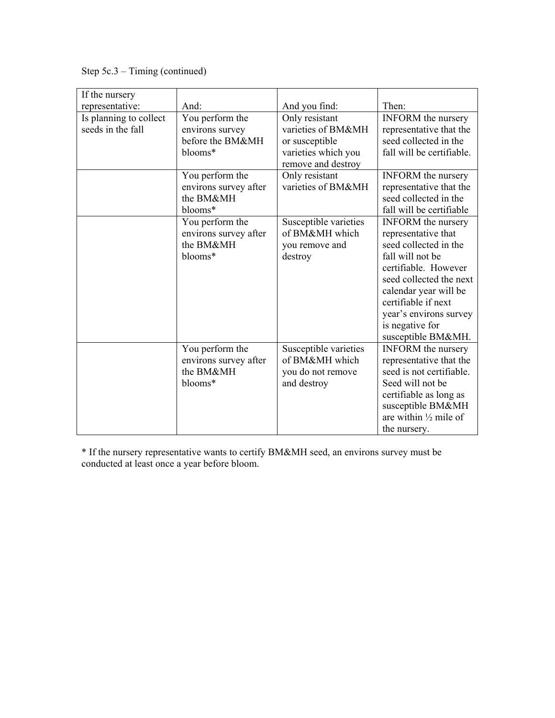Step 5c.3 – Timing (continued)

| If the nursery                              |                                                                   |                                                                                                     |                                                                                                                                                                                                                                                                     |
|---------------------------------------------|-------------------------------------------------------------------|-----------------------------------------------------------------------------------------------------|---------------------------------------------------------------------------------------------------------------------------------------------------------------------------------------------------------------------------------------------------------------------|
| representative:                             | And:                                                              | And you find:                                                                                       | Then:                                                                                                                                                                                                                                                               |
| Is planning to collect<br>seeds in the fall | You perform the<br>environs survey<br>before the BM&MH<br>blooms* | Only resistant<br>varieties of BM&MH<br>or susceptible<br>varieties which you<br>remove and destroy | <b>INFORM</b> the nursery<br>representative that the<br>seed collected in the<br>fall will be certifiable.                                                                                                                                                          |
|                                             | You perform the<br>environs survey after<br>the BM&MH<br>blooms*  | Only resistant<br>varieties of BM&MH                                                                | <b>INFORM</b> the nursery<br>representative that the<br>seed collected in the<br>fall will be certifiable                                                                                                                                                           |
|                                             | You perform the<br>environs survey after<br>the BM&MH<br>blooms*  | Susceptible varieties<br>of BM&MH which<br>you remove and<br>destroy                                | <b>INFORM</b> the nursery<br>representative that<br>seed collected in the<br>fall will not be<br>certifiable. However<br>seed collected the next<br>calendar year will be<br>certifiable if next<br>year's environs survey<br>is negative for<br>susceptible BM&MH. |
|                                             | You perform the<br>environs survey after<br>the BM&MH<br>blooms*  | Susceptible varieties<br>of BM&MH which<br>you do not remove<br>and destroy                         | <b>INFORM</b> the nursery<br>representative that the<br>seed is not certifiable.<br>Seed will not be<br>certifiable as long as<br>susceptible BM&MH<br>are within $\frac{1}{2}$ mile of<br>the nursery.                                                             |

\* If the nursery representative wants to certify BM&MH seed, an environs survey must be conducted at least once a year before bloom.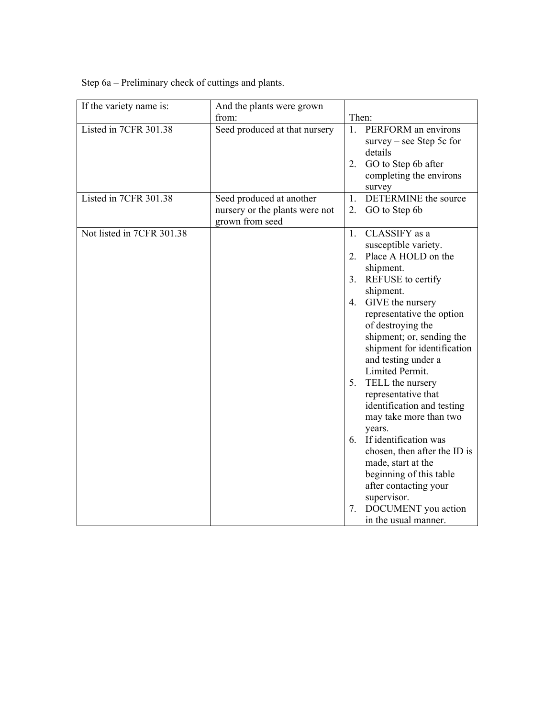Step 6a – Preliminary check of cuttings and plants.

| If the variety name is:   | And the plants were grown                                                     |                                                                                                                                                                                |
|---------------------------|-------------------------------------------------------------------------------|--------------------------------------------------------------------------------------------------------------------------------------------------------------------------------|
|                           | from:                                                                         | Then:                                                                                                                                                                          |
| Listed in 7CFR 301.38     | Seed produced at that nursery                                                 | 1 <sup>1</sup><br>PERFORM an environs<br>$survey - see Step 5c for$<br>details                                                                                                 |
|                           |                                                                               | GO to Step 6b after<br>2.<br>completing the environs<br>survey                                                                                                                 |
| Listed in 7CFR 301.38     | Seed produced at another<br>nursery or the plants were not<br>grown from seed | DETERMINE the source<br>1.<br>GO to Step 6b<br>2.                                                                                                                              |
| Not listed in 7CFR 301.38 |                                                                               | CLASSIFY as a<br>1.<br>susceptible variety.<br>Place A HOLD on the<br>$\overline{2}$ .                                                                                         |
|                           |                                                                               | shipment.                                                                                                                                                                      |
|                           |                                                                               | REFUSE to certify<br>3 <sub>1</sub><br>shipment.                                                                                                                               |
|                           |                                                                               | GIVE the nursery<br>4.<br>representative the option<br>of destroying the<br>shipment; or, sending the<br>shipment for identification<br>and testing under a<br>Limited Permit. |
|                           |                                                                               | TELL the nursery<br>5.<br>representative that<br>identification and testing<br>may take more than two<br>years.                                                                |
|                           |                                                                               | 6. If identification was<br>chosen, then after the ID is<br>made, start at the<br>beginning of this table<br>after contacting your<br>supervisor.                              |
|                           |                                                                               | DOCUMENT you action<br>7.<br>in the usual manner.                                                                                                                              |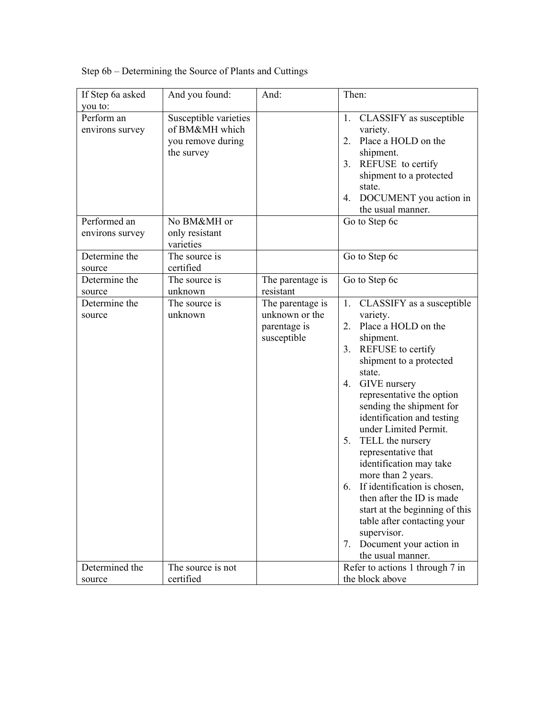| If Step 6a asked                                                            | And you found:                                                                                              | And:                                                                                               | Then:                                                                                                                                                                                                                                                                                                                                                                                                                                                                                                                                                                                        |
|-----------------------------------------------------------------------------|-------------------------------------------------------------------------------------------------------------|----------------------------------------------------------------------------------------------------|----------------------------------------------------------------------------------------------------------------------------------------------------------------------------------------------------------------------------------------------------------------------------------------------------------------------------------------------------------------------------------------------------------------------------------------------------------------------------------------------------------------------------------------------------------------------------------------------|
| you to:<br>Perform an<br>environs survey<br>Performed an<br>environs survey | Susceptible varieties<br>of BM&MH which<br>you remove during<br>the survey<br>No BM&MH or<br>only resistant |                                                                                                    | CLASSIFY as susceptible<br>1.<br>variety.<br>Place a HOLD on the<br>2.<br>shipment.<br>3. REFUSE to certify<br>shipment to a protected<br>state.<br>DOCUMENT you action in<br>4.<br>the usual manner.<br>Go to Step 6c                                                                                                                                                                                                                                                                                                                                                                       |
| Determine the                                                               | varieties<br>The source is                                                                                  |                                                                                                    | Go to Step 6c                                                                                                                                                                                                                                                                                                                                                                                                                                                                                                                                                                                |
| source<br>Determine the<br>source<br>Determine the<br>source                | certified<br>The source is<br>unknown<br>The source is<br>unknown                                           | The parentage is<br>resistant<br>The parentage is<br>unknown or the<br>parentage is<br>susceptible | Go to Step 6c<br>CLASSIFY as a susceptible<br>1.<br>variety.<br>Place a HOLD on the<br>2.<br>shipment.<br>3. REFUSE to certify<br>shipment to a protected<br>state.<br>GIVE nursery<br>4.<br>representative the option<br>sending the shipment for<br>identification and testing<br>under Limited Permit.<br>5. TELL the nursery<br>representative that<br>identification may take<br>more than 2 years.<br>If identification is chosen,<br>6.<br>then after the ID is made<br>start at the beginning of this<br>table after contacting your<br>supervisor.<br>Document your action in<br>7. |
| Determined the<br>source                                                    | The source is not<br>certified                                                                              |                                                                                                    | the usual manner.<br>Refer to actions 1 through 7 in<br>the block above                                                                                                                                                                                                                                                                                                                                                                                                                                                                                                                      |

Step 6b – Determining the Source of Plants and Cuttings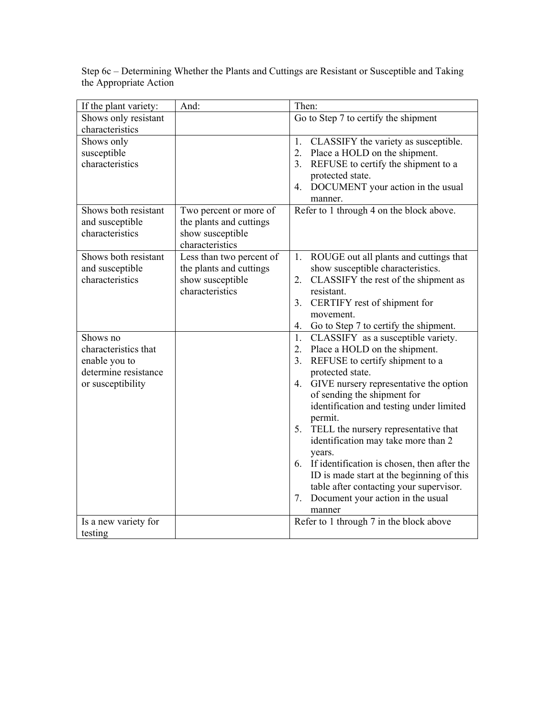|                        |  | Step 6c – Determining Whether the Plants and Cuttings are Resistant or Susceptible and Taking |
|------------------------|--|-----------------------------------------------------------------------------------------------|
| the Appropriate Action |  |                                                                                               |

| If the plant variety: | And:                     | Then:                                          |
|-----------------------|--------------------------|------------------------------------------------|
| Shows only resistant  |                          | Go to Step 7 to certify the shipment           |
| characteristics       |                          |                                                |
| Shows only            |                          | CLASSIFY the variety as susceptible.<br>1.     |
| susceptible           |                          | 2.<br>Place a HOLD on the shipment.            |
| characteristics       |                          | 3.<br>REFUSE to certify the shipment to a      |
|                       |                          | protected state.                               |
|                       |                          | 4. DOCUMENT your action in the usual           |
|                       |                          | manner.                                        |
| Shows both resistant  | Two percent or more of   | Refer to 1 through 4 on the block above.       |
| and susceptible       | the plants and cuttings  |                                                |
| characteristics       | show susceptible         |                                                |
|                       | characteristics          |                                                |
| Shows both resistant  | Less than two percent of | ROUGE out all plants and cuttings that<br>1.   |
| and susceptible       | the plants and cuttings  | show susceptible characteristics.              |
| characteristics       | show susceptible         | CLASSIFY the rest of the shipment as<br>2.     |
|                       | characteristics          | resistant.                                     |
|                       |                          | CERTIFY rest of shipment for<br>3.             |
|                       |                          | movement.                                      |
|                       |                          | Go to Step 7 to certify the shipment.<br>4.    |
| Shows no              |                          | CLASSIFY as a susceptible variety.<br>1.       |
| characteristics that  |                          | Place a HOLD on the shipment.<br>2.            |
| enable you to         |                          | 3.<br>REFUSE to certify shipment to a          |
| determine resistance  |                          | protected state.                               |
| or susceptibility     |                          | GIVE nursery representative the option<br>4.   |
|                       |                          | of sending the shipment for                    |
|                       |                          | identification and testing under limited       |
|                       |                          | permit.                                        |
|                       |                          | 5.<br>TELL the nursery representative that     |
|                       |                          | identification may take more than 2            |
|                       |                          | years.                                         |
|                       |                          | 6. If identification is chosen, then after the |
|                       |                          | ID is made start at the beginning of this      |
|                       |                          | table after contacting your supervisor.        |
|                       |                          | Document your action in the usual<br>7.        |
|                       |                          | manner                                         |
| Is a new variety for  |                          | Refer to 1 through 7 in the block above        |
| testing               |                          |                                                |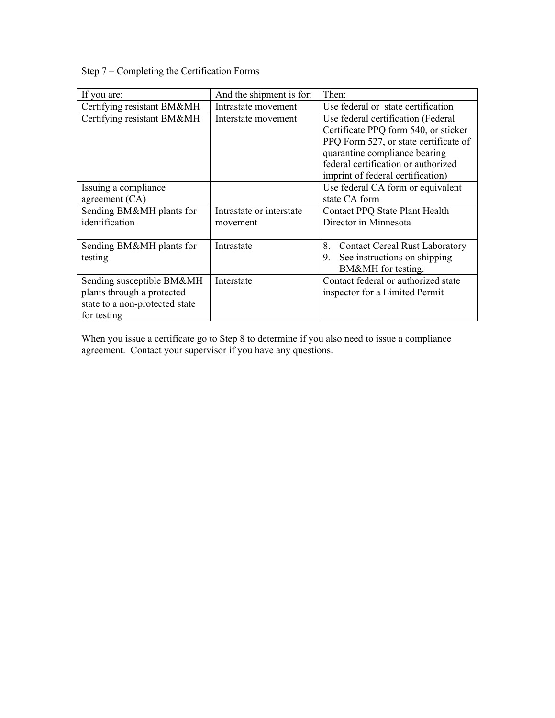Step 7 – Completing the Certification Forms

| If you are:                    | And the shipment is for: | Then:                                       |
|--------------------------------|--------------------------|---------------------------------------------|
| Certifying resistant BM&MH     | Intrastate movement      | Use federal or state certification          |
| Certifying resistant BM&MH     | Interstate movement      | Use federal certification (Federal          |
|                                |                          | Certificate PPQ form 540, or sticker        |
|                                |                          | PPQ Form 527, or state certificate of       |
|                                |                          | quarantine compliance bearing               |
|                                |                          | federal certification or authorized         |
|                                |                          | imprint of federal certification)           |
| Issuing a compliance           |                          | Use federal CA form or equivalent           |
| agreement $(CA)$               |                          | state CA form                               |
| Sending BM&MH plants for       | Intrastate or interstate | Contact PPQ State Plant Health              |
| identification                 | movement                 | Director in Minnesota                       |
|                                |                          |                                             |
| Sending BM&MH plants for       | Intrastate               | 8.<br><b>Contact Cereal Rust Laboratory</b> |
| testing                        |                          | See instructions on shipping<br>9.          |
|                                |                          | BM&MH for testing.                          |
| Sending susceptible BM&MH      | Interstate               | Contact federal or authorized state         |
| plants through a protected     |                          | inspector for a Limited Permit              |
| state to a non-protected state |                          |                                             |
| for testing                    |                          |                                             |

When you issue a certificate go to Step 8 to determine if you also need to issue a compliance agreement. Contact your supervisor if you have any questions.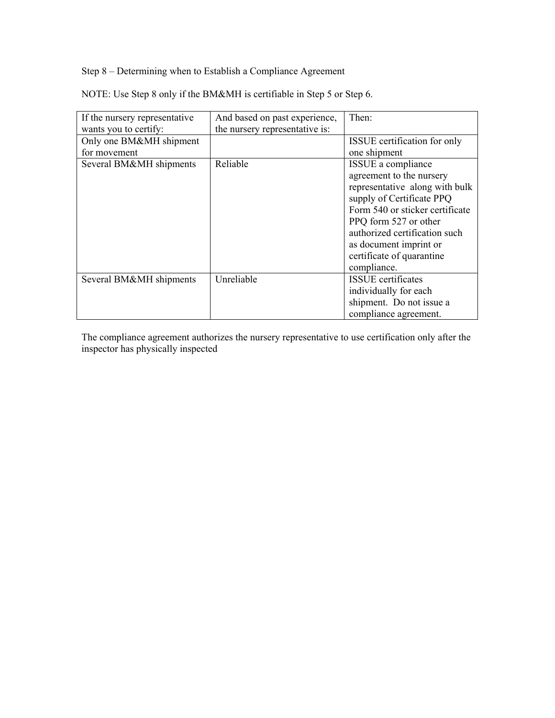Step 8 – Determining when to Establish a Compliance Agreement

NOTE: Use Step 8 only if the BM&MH is certifiable in Step 5 or Step 6.

| If the nursery representative | And based on past experience,  | Then:                           |
|-------------------------------|--------------------------------|---------------------------------|
| wants you to certify:         | the nursery representative is: |                                 |
| Only one BM&MH shipment       |                                | ISSUE certification for only    |
| for movement                  |                                | one shipment                    |
| Several BM&MH shipments       | Reliable                       | ISSUE a compliance              |
|                               |                                | agreement to the nursery        |
|                               |                                | representative along with bulk  |
|                               |                                | supply of Certificate PPQ       |
|                               |                                | Form 540 or sticker certificate |
|                               |                                | PPQ form 527 or other           |
|                               |                                | authorized certification such   |
|                               |                                | as document imprint or          |
|                               |                                | certificate of quarantine       |
|                               |                                | compliance.                     |
| Several BM&MH shipments       | Unreliable                     | <b>ISSUE</b> certificates       |
|                               |                                | individually for each           |
|                               |                                | shipment. Do not issue a        |
|                               |                                | compliance agreement.           |

The compliance agreement authorizes the nursery representative to use certification only after the inspector has physically inspected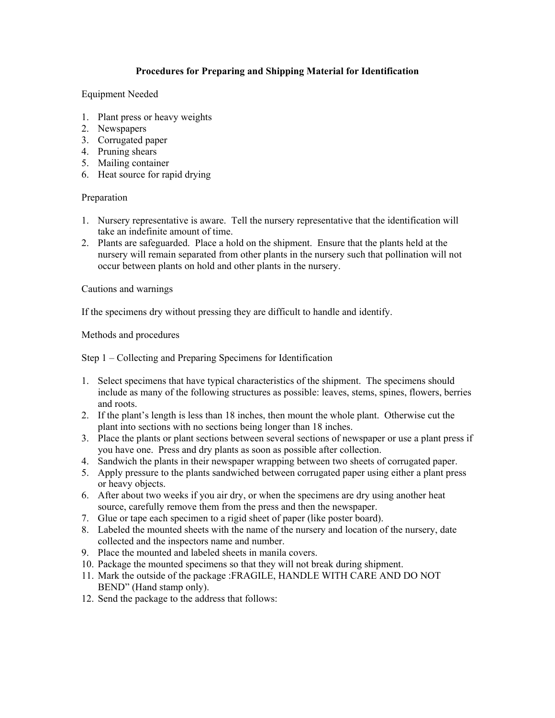### **Procedures for Preparing and Shipping Material for Identification**

Equipment Needed

- 1. Plant press or heavy weights
- 2. Newspapers
- 3. Corrugated paper
- 4. Pruning shears
- 5. Mailing container
- 6. Heat source for rapid drying

#### Preparation

- 1. Nursery representative is aware. Tell the nursery representative that the identification will take an indefinite amount of time.
- 2. Plants are safeguarded. Place a hold on the shipment. Ensure that the plants held at the nursery will remain separated from other plants in the nursery such that pollination will not occur between plants on hold and other plants in the nursery.

Cautions and warnings

If the specimens dry without pressing they are difficult to handle and identify.

Methods and procedures

Step 1 – Collecting and Preparing Specimens for Identification

- 1. Select specimens that have typical characteristics of the shipment. The specimens should include as many of the following structures as possible: leaves, stems, spines, flowers, berries and roots.
- 2. If the plant's length is less than 18 inches, then mount the whole plant. Otherwise cut the plant into sections with no sections being longer than 18 inches.
- 3. Place the plants or plant sections between several sections of newspaper or use a plant press if you have one. Press and dry plants as soon as possible after collection.
- 4. Sandwich the plants in their newspaper wrapping between two sheets of corrugated paper.
- 5. Apply pressure to the plants sandwiched between corrugated paper using either a plant press or heavy objects.
- 6. After about two weeks if you air dry, or when the specimens are dry using another heat source, carefully remove them from the press and then the newspaper.
- 7. Glue or tape each specimen to a rigid sheet of paper (like poster board).
- 8. Labeled the mounted sheets with the name of the nursery and location of the nursery, date collected and the inspectors name and number.
- 9. Place the mounted and labeled sheets in manila covers.
- 10. Package the mounted specimens so that they will not break during shipment.
- 11. Mark the outside of the package :FRAGILE, HANDLE WITH CARE AND DO NOT BEND" (Hand stamp only).
- 12. Send the package to the address that follows: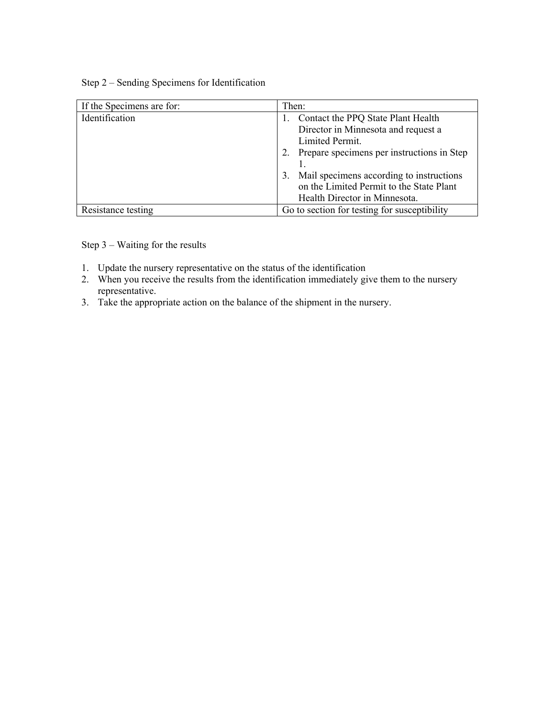## Step 2 – Sending Specimens for Identification

| If the Specimens are for: | Then:                                          |
|---------------------------|------------------------------------------------|
| Identification            | Contact the PPQ State Plant Health             |
|                           | Director in Minnesota and request a            |
|                           | Limited Permit.                                |
|                           | Prepare specimens per instructions in Step     |
|                           |                                                |
|                           | Mail specimens according to instructions<br>3. |
|                           | on the Limited Permit to the State Plant       |
|                           | Health Director in Minnesota.                  |
| Resistance testing        | Go to section for testing for susceptibility   |

Step 3 – Waiting for the results

- 1. Update the nursery representative on the status of the identification
- 2. When you receive the results from the identification immediately give them to the nursery representative.
- 3. Take the appropriate action on the balance of the shipment in the nursery.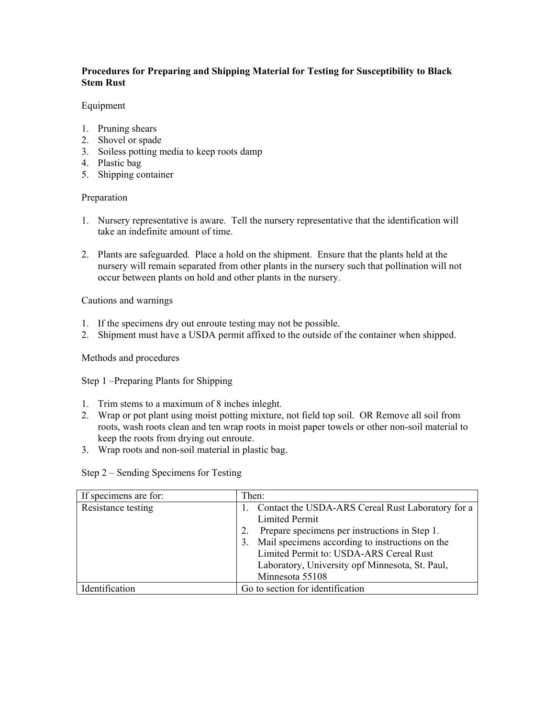### **Procedures for Preparing and Shipping Material for Testing for Susceptibility to Black Stem Rust**

#### Equipment

- 1. Pruning shears
- 2. Shovel or spade
- 3. Soiless potting media to keep roots damp
- 4. Plastic bag
- 5. Shipping container

#### Preparation

- 1. Nursery representative is aware. Tell the nursery representative that the identification will take an indefinite amount of time.
- 2. Plants are safeguarded. Place a hold on the shipment. Ensure that the plants held at the nursery will remain separated from other plants in the nursery such that pollination will not occur between plants on hold and other plants in the nursery.

#### Cautions and warnings

- 1. If the specimens dry out enroute testing may not be possible.
- 2. Shipment must have a USDA permit affixed to the outside of the container when shipped.

Methods and procedures

Step 1 –Preparing Plants for Shipping

- 1. Trim stems to a maximum of 8 inches inleght.
- 2. Wrap or pot plant using moist potting mixture, not field top soil. OR Remove all soil from roots, wash roots clean and ten wrap roots in moist paper towels or other non-soil material to keep the roots from drying out enroute.
- 3. Wrap roots and non-soil material in plastic bag.

Step 2 – Sending Specimens for Testing

| If specimens are for: | Then:                                                                                                                                                                                                                                                                                                 |
|-----------------------|-------------------------------------------------------------------------------------------------------------------------------------------------------------------------------------------------------------------------------------------------------------------------------------------------------|
| Resistance testing    | Contact the USDA-ARS Cereal Rust Laboratory for a<br><b>Limited Permit</b><br>Prepare specimens per instructions in Step 1.<br>Mail specimens according to instructions on the<br>3.<br>Limited Permit to: USDA-ARS Cereal Rust<br>Laboratory, University opf Minnesota, St. Paul,<br>Minnesota 55108 |
| Identification        | Go to section for identification                                                                                                                                                                                                                                                                      |